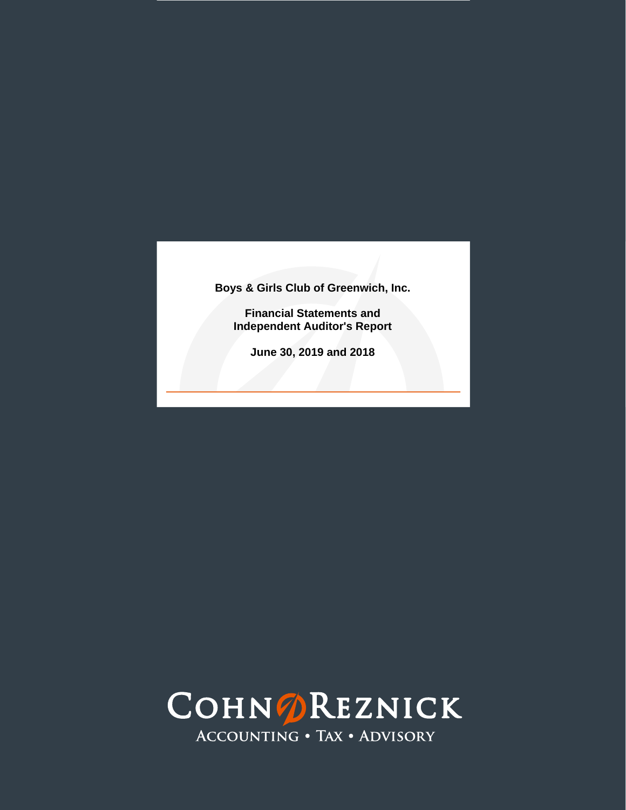**Financial Statements and Independent Auditor's Report**

**June 30, 2019 and 2018**

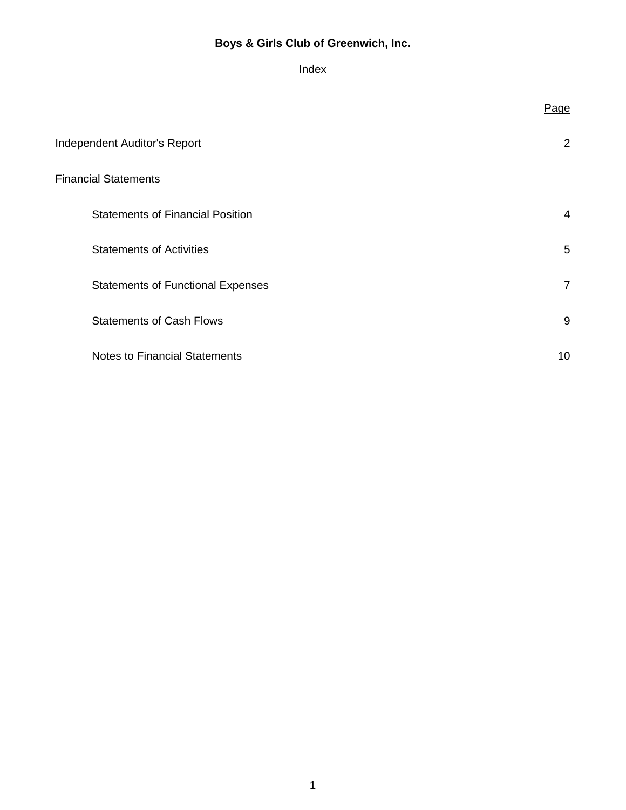# **Index**

|                                          | Page           |
|------------------------------------------|----------------|
| <b>Independent Auditor's Report</b>      | 2              |
| <b>Financial Statements</b>              |                |
| <b>Statements of Financial Position</b>  | $\overline{4}$ |
| <b>Statements of Activities</b>          | 5              |
| <b>Statements of Functional Expenses</b> | $\overline{7}$ |
| <b>Statements of Cash Flows</b>          | 9              |
| <b>Notes to Financial Statements</b>     | 10             |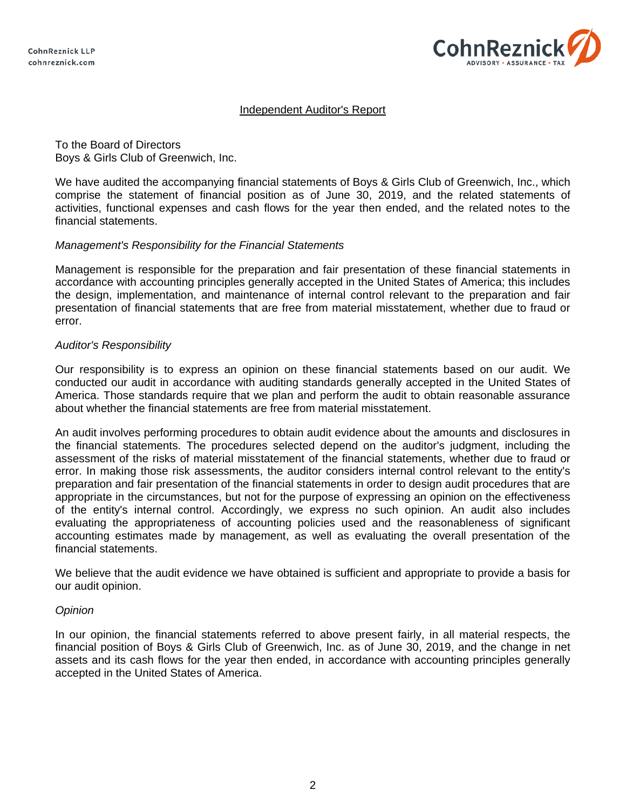

### Independent Auditor's Report

To the Board of Directors Boys & Girls Club of Greenwich, Inc.

We have audited the accompanying financial statements of Boys & Girls Club of Greenwich, Inc., which comprise the statement of financial position as of June 30, 2019, and the related statements of activities, functional expenses and cash flows for the year then ended, and the related notes to the financial statements.

#### *Management's Responsibility for the Financial Statements*

Management is responsible for the preparation and fair presentation of these financial statements in accordance with accounting principles generally accepted in the United States of America; this includes the design, implementation, and maintenance of internal control relevant to the preparation and fair presentation of financial statements that are free from material misstatement, whether due to fraud or error.

#### *Auditor's Responsibility*

Our responsibility is to express an opinion on these financial statements based on our audit. We conducted our audit in accordance with auditing standards generally accepted in the United States of America. Those standards require that we plan and perform the audit to obtain reasonable assurance about whether the financial statements are free from material misstatement.

An audit involves performing procedures to obtain audit evidence about the amounts and disclosures in the financial statements. The procedures selected depend on the auditor's judgment, including the assessment of the risks of material misstatement of the financial statements, whether due to fraud or error. In making those risk assessments, the auditor considers internal control relevant to the entity's preparation and fair presentation of the financial statements in order to design audit procedures that are appropriate in the circumstances, but not for the purpose of expressing an opinion on the effectiveness of the entity's internal control. Accordingly, we express no such opinion. An audit also includes evaluating the appropriateness of accounting policies used and the reasonableness of significant accounting estimates made by management, as well as evaluating the overall presentation of the financial statements.

We believe that the audit evidence we have obtained is sufficient and appropriate to provide a basis for our audit opinion.

### *Opinion*

In our opinion, the financial statements referred to above present fairly, in all material respects, the financial position of Boys & Girls Club of Greenwich, Inc. as of June 30, 2019, and the change in net assets and its cash flows for the year then ended, in accordance with accounting principles generally accepted in the United States of America.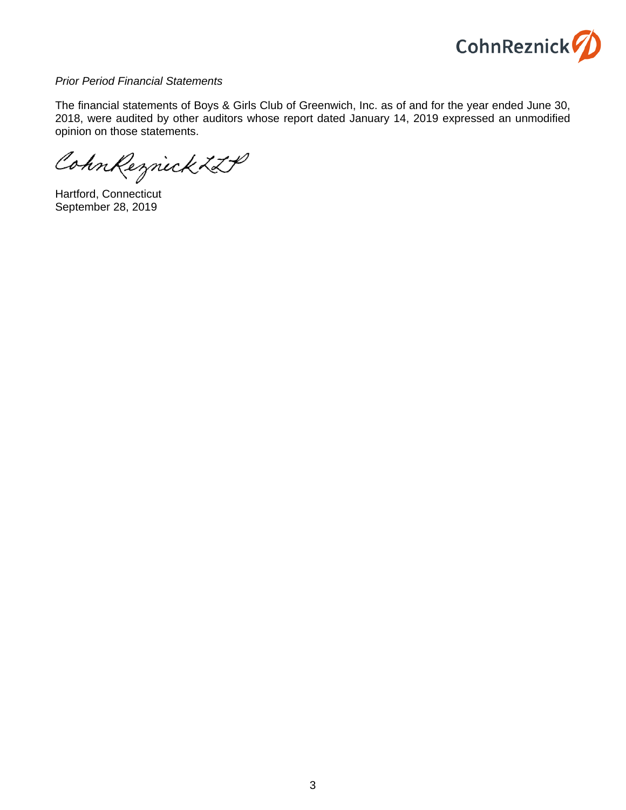

#### *Prior Period Financial Statements*

The financial statements of Boys & Girls Club of Greenwich, Inc. as of and for the year ended June 30, 2018, were audited by other auditors whose report dated January 14, 2019 expressed an unmodified opinion on those statements.

CohnReznick ZLP

Hartford, Connecticut September 28, 2019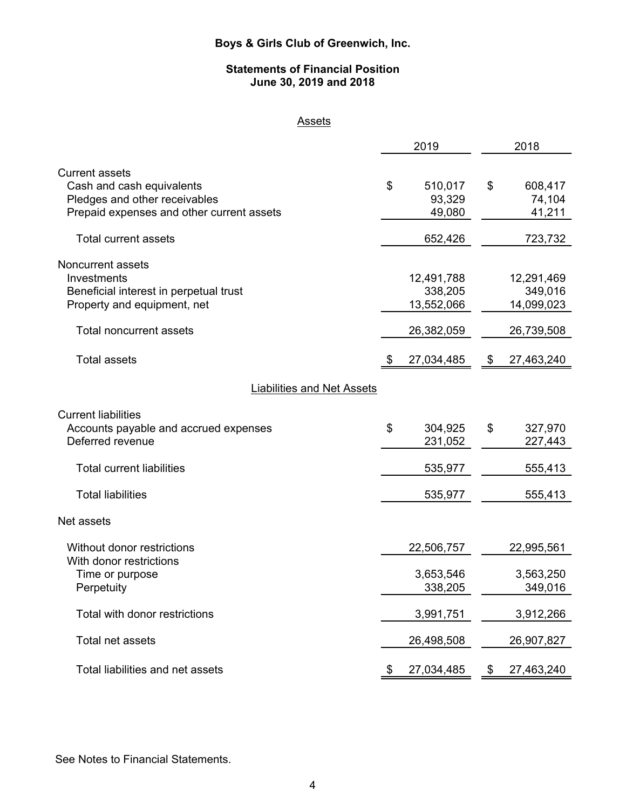### **Statements of Financial Position June 30, 2019 and 2018**

# **Assets**

|                                                                                                                                  |    | 2019                                | 2018 |                                     |  |  |
|----------------------------------------------------------------------------------------------------------------------------------|----|-------------------------------------|------|-------------------------------------|--|--|
| <b>Current assets</b><br>Cash and cash equivalents<br>Pledges and other receivables<br>Prepaid expenses and other current assets | \$ | 510,017<br>93,329<br>49,080         | \$   | 608,417<br>74,104<br>41,211         |  |  |
| <b>Total current assets</b>                                                                                                      |    | 652,426                             |      | 723,732                             |  |  |
| <b>Noncurrent assets</b><br>Investments<br>Beneficial interest in perpetual trust<br>Property and equipment, net                 |    | 12,491,788<br>338,205<br>13,552,066 |      | 12,291,469<br>349,016<br>14,099,023 |  |  |
| <b>Total noncurrent assets</b>                                                                                                   |    | 26,382,059                          |      | 26,739,508                          |  |  |
| <b>Total assets</b>                                                                                                              | -S | 27,034,485                          | \$   | 27,463,240                          |  |  |
| <b>Liabilities and Net Assets</b>                                                                                                |    |                                     |      |                                     |  |  |
| <b>Current liabilities</b><br>Accounts payable and accrued expenses<br>Deferred revenue                                          | \$ | 304,925<br>231,052                  | \$   | 327,970<br>227,443                  |  |  |
| <b>Total current liabilities</b>                                                                                                 |    | 535,977                             |      | 555,413                             |  |  |
| <b>Total liabilities</b>                                                                                                         |    | 535,977                             |      | 555,413                             |  |  |
| Net assets                                                                                                                       |    |                                     |      |                                     |  |  |
| Without donor restrictions                                                                                                       |    | 22,506,757                          |      | 22,995,561                          |  |  |
| With donor restrictions<br>Time or purpose<br>Perpetuity                                                                         |    | 3,653,546<br>338,205                |      | 3,563,250<br>349,016                |  |  |
| Total with donor restrictions                                                                                                    |    | 3,991,751                           |      | 3,912,266                           |  |  |
| Total net assets                                                                                                                 |    | 26,498,508                          |      | 26,907,827                          |  |  |
| Total liabilities and net assets                                                                                                 | \$ | 27,034,485                          | \$   | 27,463,240                          |  |  |

See Notes to Financial Statements.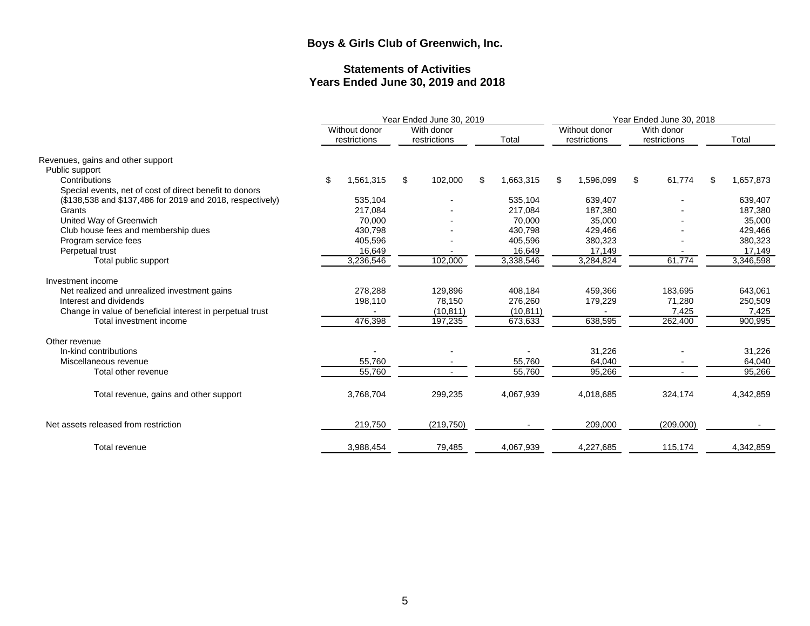# **Statements of Activities Years Ended June 30, 2019 and 2018**

|                                                           |                               | Year Ended June 30, 2019   |                 | Year Ended June 30, 2018 |                               |     |                            |     |           |
|-----------------------------------------------------------|-------------------------------|----------------------------|-----------------|--------------------------|-------------------------------|-----|----------------------------|-----|-----------|
|                                                           | Without donor<br>restrictions | With donor<br>restrictions | Total           |                          | Without donor<br>restrictions |     | With donor<br>restrictions |     | Total     |
| Revenues, gains and other support                         |                               |                            |                 |                          |                               |     |                            |     |           |
| Public support                                            |                               |                            |                 |                          |                               |     |                            |     |           |
| Contributions                                             | \$<br>1,561,315               | \$<br>102,000              | \$<br>1,663,315 | \$                       | 1,596,099                     | \$. | 61,774                     | \$. | 1,657,873 |
| Special events, net of cost of direct benefit to donors   |                               |                            |                 |                          |                               |     |                            |     |           |
| (\$138,538 and \$137,486 for 2019 and 2018, respectively) | 535,104                       |                            | 535,104         |                          | 639,407                       |     |                            |     | 639,407   |
| Grants                                                    | 217,084                       |                            | 217,084         |                          | 187,380                       |     |                            |     | 187,380   |
| United Way of Greenwich                                   | 70.000                        |                            | 70,000          |                          | 35,000                        |     |                            |     | 35,000    |
| Club house fees and membership dues                       | 430.798                       |                            | 430,798         |                          | 429,466                       |     |                            |     | 429,466   |
| Program service fees                                      | 405,596                       |                            | 405,596         |                          | 380,323                       |     |                            |     | 380,323   |
| Perpetual trust                                           | 16,649                        |                            | 16,649          |                          | 17,149                        |     |                            |     | 17,149    |
| Total public support                                      | 3,236,546                     | 102,000                    | 3,338,546       |                          | 3,284,824                     |     | 61,774                     |     | 3,346,598 |
| Investment income                                         |                               |                            |                 |                          |                               |     |                            |     |           |
| Net realized and unrealized investment gains              | 278.288                       | 129.896                    | 408.184         |                          | 459,366                       |     | 183,695                    |     | 643,061   |
| Interest and dividends                                    | 198,110                       | 78,150                     | 276,260         |                          | 179,229                       |     | 71,280                     |     | 250,509   |
| Change in value of beneficial interest in perpetual trust |                               | (10, 811)                  | (10, 811)       |                          |                               |     | 7,425                      |     | 7,425     |
| Total investment income                                   | 476,398                       | 197,235                    | 673,633         |                          | 638,595                       |     | 262,400                    |     | 900,995   |
| Other revenue                                             |                               |                            |                 |                          |                               |     |                            |     |           |
| In-kind contributions                                     |                               |                            |                 |                          | 31,226                        |     |                            |     | 31,226    |
| Miscellaneous revenue                                     | 55,760                        |                            | 55,760          |                          | 64,040                        |     |                            |     | 64,040    |
| Total other revenue                                       | 55,760                        |                            | 55,760          |                          | 95.266                        |     |                            |     | 95.266    |
|                                                           |                               |                            |                 |                          |                               |     |                            |     |           |
| Total revenue, gains and other support                    | 3,768,704                     | 299,235                    | 4,067,939       |                          | 4,018,685                     |     | 324,174                    |     | 4,342,859 |
|                                                           |                               |                            |                 |                          |                               |     |                            |     |           |
| Net assets released from restriction                      | 219,750                       | (219, 750)                 |                 |                          | 209,000                       |     | (209,000)                  |     |           |
| Total revenue                                             | 3,988,454                     | 79,485                     | 4,067,939       |                          | 4,227,685                     |     | 115,174                    |     | 4,342,859 |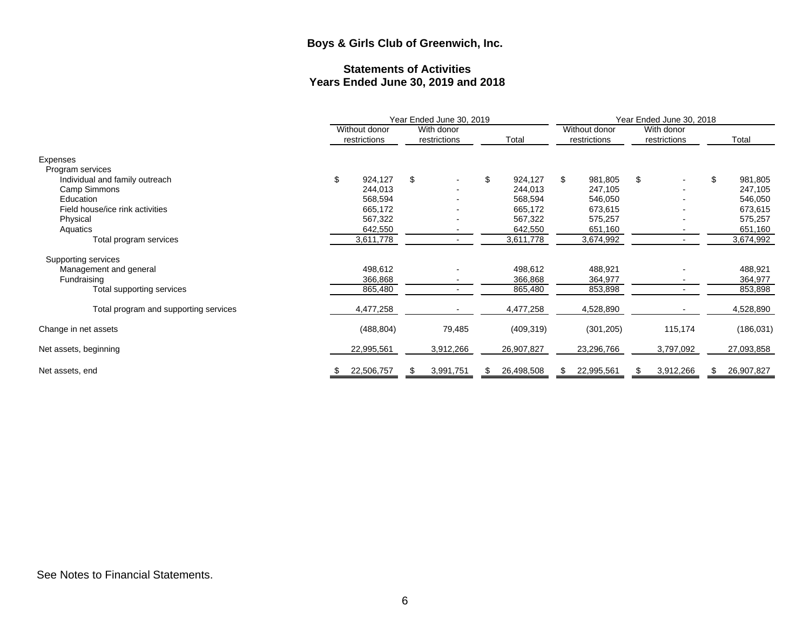# **Statements of Activities Years Ended June 30, 2019 and 2018**

|                                       |                               |    | Year Ended June 30, 2019   |    |            | Year Ended June 30, 2018 |                               |                            |           |    |            |
|---------------------------------------|-------------------------------|----|----------------------------|----|------------|--------------------------|-------------------------------|----------------------------|-----------|----|------------|
|                                       | Without donor<br>restrictions |    | With donor<br>restrictions |    | Total      |                          | Without donor<br>restrictions | With donor<br>restrictions |           |    | Total      |
| Expenses<br>Program services          |                               |    |                            |    |            |                          |                               |                            |           |    |            |
| Individual and family outreach        | \$<br>924,127                 | \$ |                            | \$ | 924,127    | \$                       | 981,805                       | \$                         |           | \$ | 981,805    |
| Camp Simmons                          | 244,013                       |    |                            |    | 244,013    |                          | 247,105                       |                            |           |    | 247,105    |
| Education                             | 568,594                       |    |                            |    | 568,594    |                          | 546,050                       |                            |           |    | 546,050    |
| Field house/ice rink activities       | 665,172                       |    |                            |    | 665,172    |                          | 673,615                       |                            |           |    | 673,615    |
| Physical                              | 567,322                       |    |                            |    | 567,322    |                          | 575,257                       |                            |           |    | 575,257    |
| Aquatics                              | 642,550                       |    |                            |    | 642,550    |                          | 651,160                       |                            |           |    | 651,160    |
| Total program services                | 3,611,778                     |    |                            |    | 3,611,778  |                          | 3,674,992                     |                            |           |    | 3,674,992  |
| Supporting services                   |                               |    |                            |    |            |                          |                               |                            |           |    |            |
| Management and general                | 498,612                       |    |                            |    | 498,612    |                          | 488,921                       |                            |           |    | 488,921    |
| Fundraising                           | 366,868                       |    |                            |    | 366,868    |                          | 364,977                       |                            |           |    | 364,977    |
| Total supporting services             | 865,480                       |    |                            |    | 865,480    |                          | 853,898                       |                            |           |    | 853,898    |
| Total program and supporting services | 4,477,258                     |    |                            |    | 4,477,258  |                          | 4,528,890                     |                            |           |    | 4,528,890  |
| Change in net assets                  | (488, 804)                    |    | 79,485                     |    | (409, 319) |                          | (301, 205)                    |                            | 115,174   |    | (186, 031) |
| Net assets, beginning                 | 22,995,561                    |    | 3,912,266                  |    | 26,907,827 |                          | 23,296,766                    |                            | 3,797,092 |    | 27,093,858 |
| Net assets, end                       | \$<br>22,506,757              |    | 3,991,751                  |    | 26,498,508 | S                        | 22,995,561                    | S.                         | 3,912,266 | S  | 26,907,827 |

See Notes to Financial Statements.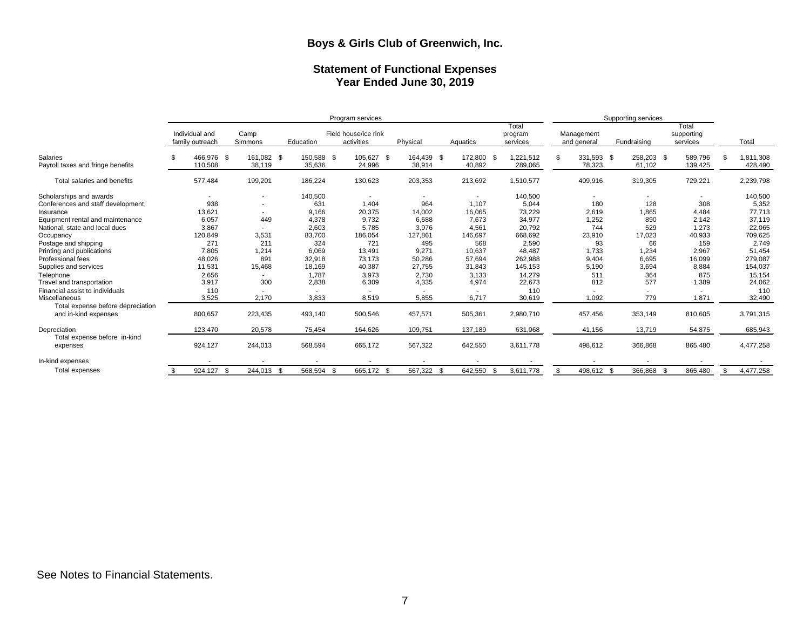#### **Statement of Functional Expenses Year Ended June 30, 2019**

|                                   |                                   |                          |            | Program services                   |            | Supporting services |                              |                           |             |                                 |           |
|-----------------------------------|-----------------------------------|--------------------------|------------|------------------------------------|------------|---------------------|------------------------------|---------------------------|-------------|---------------------------------|-----------|
|                                   | Individual and<br>family outreach | Camp<br>Simmons          | Education  | Field house/ice rink<br>activities | Physical   | Aquatics            | Total<br>program<br>services | Management<br>and general | Fundraising | Total<br>supporting<br>services | Total     |
| Salaries                          | 466,976 \$                        | 161,082 \$               | 150,588 \$ | 105,627 \$                         | 164,439 \$ | 172,800             | .221,512<br>- \$             | 331,593 \$                | 258,203 \$  | 589,796                         | 1,811,308 |
| Payroll taxes and fringe benefits | 110,508                           | 38,119                   | 35,636     | 24,996                             | 38,914     | 40,892              | 289,065                      | 78,323                    | 61,102      | 139,425                         | 428,490   |
| Total salaries and benefits       | 577,484                           | 199,201                  | 186,224    | 130,623                            | 203,353    | 213,692             | 1,510,577                    | 409,916                   | 319,305     | 729,221                         | 2,239,798 |
| Scholarships and awards           |                                   |                          | 140,500    |                                    |            |                     | 140,500                      |                           |             |                                 | 140,500   |
| Conferences and staff development | 938                               | ٠                        | 631        | 1,404                              | 964        | 1,107               | 5,044                        | 180                       | 128         | 308                             | 5,352     |
| Insurance                         | 13,621                            | $\overline{\phantom{a}}$ | 9,166      | 20,375                             | 14,002     | 16,065              | 73,229                       | 2,619                     | 1,865       | 4,484                           | 77,713    |
| Equipment rental and maintenance  | 6,057                             | 449                      | 4,378      | 9,732                              | 6,688      | 7,673               | 34,977                       | 1,252                     | 890         | 2,142                           | 37,119    |
| National, state and local dues    | 3,867                             | $\overline{\phantom{a}}$ | 2,603      | 5,785                              | 3,976      | 4,561               | 20,792                       | 744                       | 529         | 1,273                           | 22,065    |
| Occupancy                         | 120,849                           | 3,531                    | 83,700     | 186,054                            | 127,861    | 146,697             | 668,692                      | 23,910                    | 17,023      | 40,933                          | 709,625   |
| Postage and shipping              | 271                               | 211                      | 324        | 721                                | 495        | 568                 | 2,590                        | 93                        | 66          | 159                             | 2,749     |
| Printing and publications         | 7,805                             | 1,214                    | 6,069      | 13.491                             | 9,271      | 10,637              | 48.487                       | 1,733                     | 1.234       | 2,967                           | 51,454    |
| Professional fees                 | 48,026                            | 891                      | 32,918     | 73,173                             | 50,286     | 57,694              | 262,988                      | 9,404                     | 6,695       | 16,099                          | 279,087   |
| Supplies and services             | 11,531                            | 15,468                   | 18,169     | 40,387                             | 27,755     | 31,843              | 145,153                      | 5,190                     | 3,694       | 8,884                           | 154,037   |
| Telephone                         | 2,656                             | ٠.                       | 1,787      | 3,973                              | 2,730      | 3,133               | 14,279                       | 511                       | 364         | 875                             | 15,154    |
| Travel and transportation         | 3,917                             | 300                      | 2,838      | 6,309                              | 4,335      | 4,974               | 22,673                       | 812                       | 577         | 1,389                           | 24,062    |
| Financial assist to individuals   | 110                               |                          |            |                                    |            |                     | 110                          |                           |             |                                 | 110       |
| Miscellaneous                     | 3,525                             | 2,170                    | 3,833      | 8,519                              | 5,855      | 6,717               | 30,619                       | 1,092                     | 779         | 1,871                           | 32,490    |
| Total expense before depreciation |                                   |                          |            |                                    |            |                     |                              |                           |             |                                 |           |
| and in-kind expenses              | 800,657                           | 223,435                  | 493,140    | 500,546                            | 457,571    | 505,361             | 2,980,710                    | 457,456                   | 353,149     | 810,605                         | 3,791,315 |
| Depreciation                      | 123.470                           | 20,578                   | 75.454     | 164,626                            | 109,751    | 137,189             | 631,068                      | 41.156                    | 13.719      | 54,875                          | 685,943   |
| Total expense before in-kind      |                                   |                          |            |                                    |            |                     |                              |                           |             |                                 |           |
| expenses                          | 924,127                           | 244,013                  | 568,594    | 665,172                            | 567,322    | 642,550             | 3,611,778                    | 498,612                   | 366,868     | 865,480                         | 4,477,258 |
| In-kind expenses                  |                                   |                          |            |                                    |            |                     |                              |                           |             |                                 |           |
| Total expenses                    | 924,127                           | - \$<br>244,013 \$       | 568,594 \$ | 665,172 \$                         | 567,322 \$ | 642,550             | 3,611,778                    | 498,612 \$                | 366,868 \$  | 865,480                         | 4,477,258 |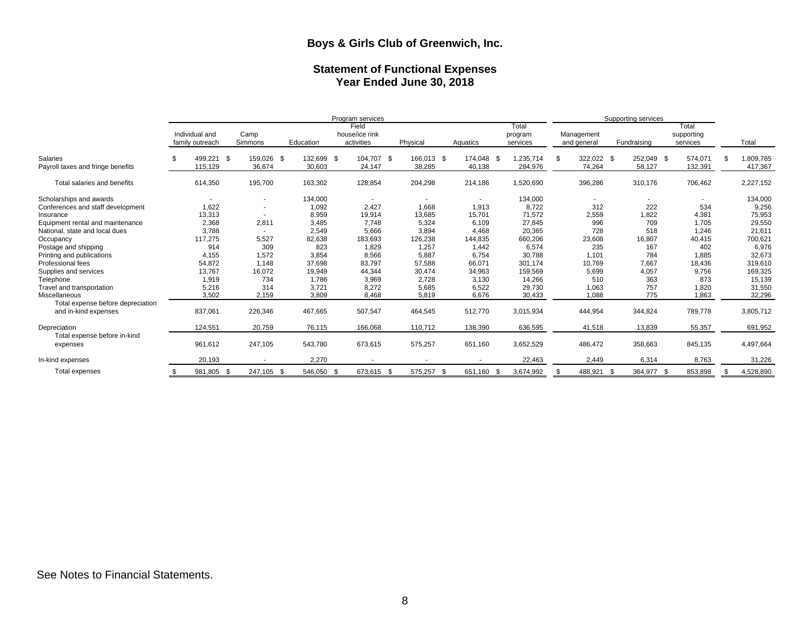#### **Statement of Functional Expenses Year Ended June 30, 2018**

|                                               | Program services                  |      |                          |           |                      |  |                                       |          |            | Supporting services  |      |                              |     |                           |     |                      |                                 |    |                      |
|-----------------------------------------------|-----------------------------------|------|--------------------------|-----------|----------------------|--|---------------------------------------|----------|------------|----------------------|------|------------------------------|-----|---------------------------|-----|----------------------|---------------------------------|----|----------------------|
|                                               | Individual and<br>family outreach |      | Camp<br>Simmons          | Education |                      |  | Field<br>house/ice rink<br>activities | Physical |            | Aquatics             |      | Total<br>program<br>services |     | Management<br>and general |     | Fundraising          | Total<br>supporting<br>services |    | Total                |
| Salaries<br>Payroll taxes and fringe benefits | 499,221<br>115,129                | - \$ | 159,026 \$<br>36,674     |           | 132,699 \$<br>30,603 |  | 104,707 \$<br>24,147                  | 38,285   | 166,013 \$ | 174,048 \$<br>40,138 |      | 1,235,714<br>284,976         | \$  | 322,022 \$<br>74,264      |     | 252,049 \$<br>58,127 | 574,071<br>132,391              | £. | 1,809,785<br>417,367 |
|                                               |                                   |      |                          |           |                      |  |                                       |          |            |                      |      |                              |     |                           |     |                      |                                 |    |                      |
| Total salaries and benefits                   | 614,350                           |      | 195,700                  |           | 163,302              |  | 128,854                               | 204,298  |            | 214,186              |      | 1,520,690                    |     | 396,286                   |     | 310,176              | 706,462                         |    | 2,227,152            |
| Scholarships and awards                       |                                   |      |                          |           | 134,000              |  |                                       |          |            |                      |      | 134,000                      |     |                           |     |                      |                                 |    | 134,000              |
| Conferences and staff development             | 1,622                             |      | $\overline{\phantom{a}}$ |           | 1,092                |  | 2,427                                 | 1,668    |            | 1,913                |      | 8,722                        |     | 312                       |     | 222                  | 534                             |    | 9,256                |
| Insurance                                     | 13,313                            |      | $\overline{\phantom{a}}$ |           | 8,959                |  | 19,914                                | 13,685   |            | 15,701               |      | 71,572                       |     | 2,559                     |     | 1,822                | 4,381                           |    | 75,953               |
| Equipment rental and maintenance              | 2,368                             |      | 2,811                    |           | 3,485                |  | 7.748                                 | 5,324    |            | 6,109                |      | 27,845                       |     | 996                       |     | 709                  | 1,705                           |    | 29,550               |
| National, state and local dues                | 3,788                             |      | $\overline{\phantom{a}}$ |           | 2,549                |  | 5,666                                 | 3,894    |            | 4,468                |      | 20,365                       |     | 728                       |     | 518                  | 1,246                           |    | 21,611               |
| Occupancy                                     | 117,275                           |      | 5,527                    |           | 82,638               |  | 183,693                               | 126,238  |            | 144,835              |      | 660,206                      |     | 23,608                    |     | 16,807               | 40,415                          |    | 700,621              |
| Postage and shipping                          | 914                               |      | 309                      |           | 823                  |  | 1,829                                 | 1,257    |            | 1,442                |      | 6,574                        |     | 235                       |     | 167                  | 402                             |    | 6,976                |
| Printing and publications                     | 4,155                             |      | 1,572                    |           | 3,854                |  | 8,566                                 | 5,887    |            | 6,754                |      | 30,788                       |     | 1,101                     |     | 784                  | 1,885                           |    | 32,673               |
| Professional fees                             | 54,872                            |      | 1,148                    |           | 37,698               |  | 83,797                                | 57,588   |            | 66,071               |      | 301,174                      |     | 10,769                    |     | 7,667                | 18,436                          |    | 319,610              |
| Supplies and services                         | 13,767                            |      | 16,072                   |           | 19,949               |  | 44,344                                | 30,474   |            | 34,963               |      | 159,569                      |     | 5,699                     |     | 4,057                | 9,756                           |    | 169,325              |
| Telephone                                     | 1,919                             |      | 734                      |           | 1,786                |  | 3,969                                 | 2,728    |            | 3,130                |      | 14,266                       |     | 510                       |     | 363                  | 873                             |    | 15,139               |
| Travel and transportation                     | 5,216                             |      | 314                      |           | 3,721                |  | 8,272                                 | 5,685    |            | 6,522                |      | 29,730                       |     | 1,063                     |     | 757                  | 1,820                           |    | 31,550               |
| <b>Miscellaneous</b>                          | 3,502                             |      | 2,159                    |           | 3,809                |  | 8,468                                 | 5,819    |            | 6,676                |      | 30,433                       |     | 1,088                     |     | 775                  | 1,863                           |    | 32,296               |
| Total expense before depreciation             |                                   |      |                          |           |                      |  |                                       |          |            |                      |      |                              |     |                           |     |                      |                                 |    |                      |
| and in-kind expenses                          | 837,061                           |      | 226,346                  |           | 467,665              |  | 507,547                               | 464,545  |            | 512,770              |      | 3,015,934                    |     | 444,954                   |     | 344,824              | 789,778                         |    | 3,805,712            |
| Depreciation                                  | 124,551                           |      | 20,759                   |           | 76,115               |  | 166,068                               | 110,712  |            | 138,390              |      | 636,595                      |     | 41,518                    |     | 13,839               | 55,357                          |    | 691,952              |
| Total expense before in-kind<br>expenses      | 961,612                           |      | 247,105                  |           | 543,780              |  | 673,615                               | 575,257  |            | 651,160              |      | 3,652,529                    |     | 486,472                   |     | 358,663              | 845,135                         |    | 4,497,664            |
| In-kind expenses                              | 20,193                            |      |                          |           | 2,270                |  |                                       |          |            |                      |      | 22,463                       |     | 2,449                     |     | 6,314                | 8,763                           |    | 31,226               |
| Total expenses                                | 981,805 \$                        |      | 247,105 \$               |           | 546,050 \$           |  | 673,615 \$                            | 575,257  | - \$       | 651,160              | - \$ | 3,674,992                    | \$. | 488,921                   | -\$ | 364,977 \$           | 853,898                         |    | 4,528,890            |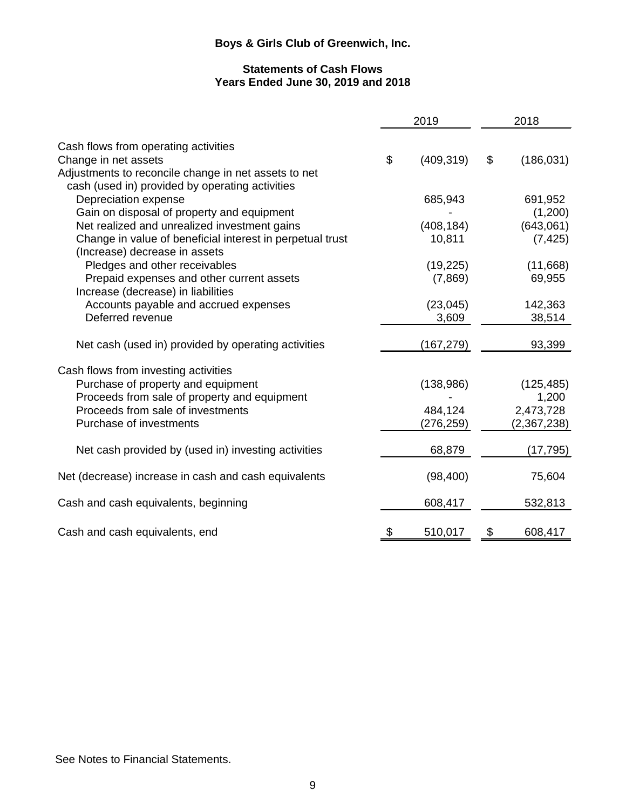### **Statements of Cash Flows Years Ended June 30, 2019 and 2018**

|                                                           | 2019             | 2018             |
|-----------------------------------------------------------|------------------|------------------|
| Cash flows from operating activities                      |                  |                  |
| Change in net assets                                      | \$<br>(409, 319) | \$<br>(186, 031) |
| Adjustments to reconcile change in net assets to net      |                  |                  |
| cash (used in) provided by operating activities           |                  |                  |
| Depreciation expense                                      | 685,943          | 691,952          |
| Gain on disposal of property and equipment                |                  | (1,200)          |
| Net realized and unrealized investment gains              | (408, 184)       | (643,061)        |
| Change in value of beneficial interest in perpetual trust | 10,811           | (7, 425)         |
| (Increase) decrease in assets                             |                  |                  |
| Pledges and other receivables                             | (19, 225)        | (11,668)         |
| Prepaid expenses and other current assets                 | (7,869)          | 69,955           |
| Increase (decrease) in liabilities                        |                  |                  |
| Accounts payable and accrued expenses                     | (23, 045)        | 142,363          |
| Deferred revenue                                          | 3,609            | 38,514           |
|                                                           |                  |                  |
| Net cash (used in) provided by operating activities       | (167,279)        | 93,399           |
| Cash flows from investing activities                      |                  |                  |
| Purchase of property and equipment                        | (138, 986)       | (125, 485)       |
| Proceeds from sale of property and equipment              |                  | 1,200            |
| Proceeds from sale of investments                         | 484,124          | 2,473,728        |
| Purchase of investments                                   | (276, 259)       | (2,367,238)      |
|                                                           |                  |                  |
| Net cash provided by (used in) investing activities       | 68,879           | (17, 795)        |
| Net (decrease) increase in cash and cash equivalents      | (98, 400)        | 75,604           |
| Cash and cash equivalents, beginning                      | 608,417          | 532,813          |
| Cash and cash equivalents, end                            | \$<br>510,017    | \$<br>608,417    |

See Notes to Financial Statements.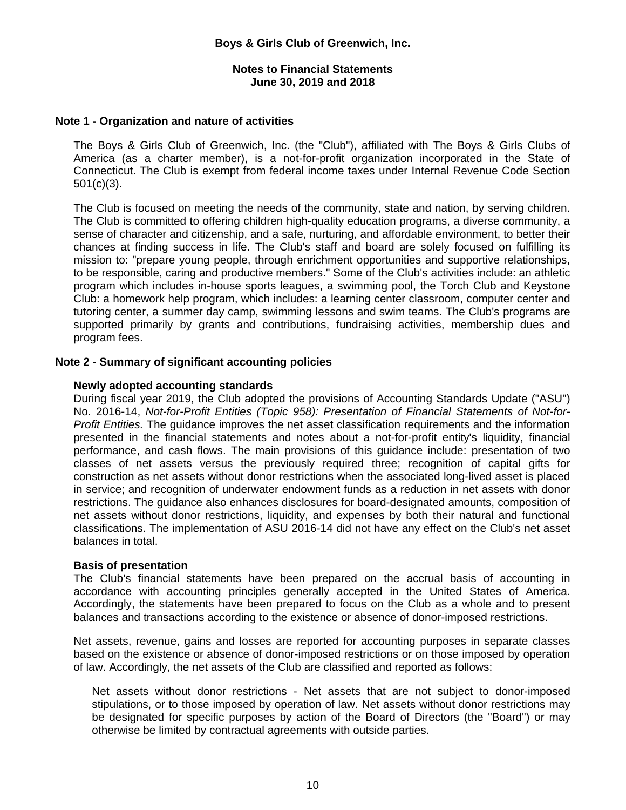#### **Notes to Financial Statements June 30, 2019 and 2018**

#### **Note 1 - Organization and nature of activities**

The Boys & Girls Club of Greenwich, Inc. (the "Club"), affiliated with The Boys & Girls Clubs of America (as a charter member), is a not-for-profit organization incorporated in the State of Connecticut. The Club is exempt from federal income taxes under Internal Revenue Code Section 501(c)(3).

The Club is focused on meeting the needs of the community, state and nation, by serving children. The Club is committed to offering children high-quality education programs, a diverse community, a sense of character and citizenship, and a safe, nurturing, and affordable environment, to better their chances at finding success in life. The Club's staff and board are solely focused on fulfilling its mission to: "prepare young people, through enrichment opportunities and supportive relationships, to be responsible, caring and productive members." Some of the Club's activities include: an athletic program which includes in-house sports leagues, a swimming pool, the Torch Club and Keystone Club: a homework help program, which includes: a learning center classroom, computer center and tutoring center, a summer day camp, swimming lessons and swim teams. The Club's programs are supported primarily by grants and contributions, fundraising activities, membership dues and program fees.

#### **Note 2 - Summary of significant accounting policies**

#### **Newly adopted accounting standards**

During fiscal year 2019, the Club adopted the provisions of Accounting Standards Update ("ASU") No. 2016-14, *Not-for-Profit Entities (Topic 958): Presentation of Financial Statements of Not-for-Profit Entities.* The guidance improves the net asset classification requirements and the information presented in the financial statements and notes about a not-for-profit entity's liquidity, financial performance, and cash flows. The main provisions of this guidance include: presentation of two classes of net assets versus the previously required three; recognition of capital gifts for construction as net assets without donor restrictions when the associated long-lived asset is placed in service; and recognition of underwater endowment funds as a reduction in net assets with donor restrictions. The guidance also enhances disclosures for board-designated amounts, composition of net assets without donor restrictions, liquidity, and expenses by both their natural and functional classifications. The implementation of ASU 2016-14 did not have any effect on the Club's net asset balances in total.

#### **Basis of presentation**

The Club's financial statements have been prepared on the accrual basis of accounting in accordance with accounting principles generally accepted in the United States of America. Accordingly, the statements have been prepared to focus on the Club as a whole and to present balances and transactions according to the existence or absence of donor-imposed restrictions.

Net assets, revenue, gains and losses are reported for accounting purposes in separate classes based on the existence or absence of donor-imposed restrictions or on those imposed by operation of law. Accordingly, the net assets of the Club are classified and reported as follows:

Net assets without donor restrictions - Net assets that are not subject to donor-imposed stipulations, or to those imposed by operation of law. Net assets without donor restrictions may be designated for specific purposes by action of the Board of Directors (the "Board") or may otherwise be limited by contractual agreements with outside parties.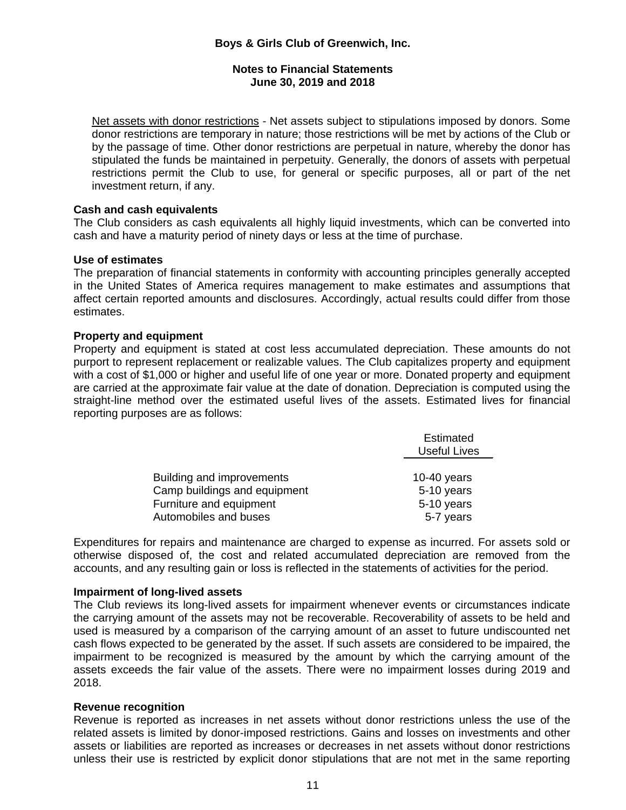### **Notes to Financial Statements June 30, 2019 and 2018**

Net assets with donor restrictions - Net assets subject to stipulations imposed by donors. Some donor restrictions are temporary in nature; those restrictions will be met by actions of the Club or by the passage of time. Other donor restrictions are perpetual in nature, whereby the donor has stipulated the funds be maintained in perpetuity. Generally, the donors of assets with perpetual restrictions permit the Club to use, for general or specific purposes, all or part of the net investment return, if any.

### **Cash and cash equivalents**

The Club considers as cash equivalents all highly liquid investments, which can be converted into cash and have a maturity period of ninety days or less at the time of purchase.

#### **Use of estimates**

The preparation of financial statements in conformity with accounting principles generally accepted in the United States of America requires management to make estimates and assumptions that affect certain reported amounts and disclosures. Accordingly, actual results could differ from those estimates.

#### **Property and equipment**

Property and equipment is stated at cost less accumulated depreciation. These amounts do not purport to represent replacement or realizable values. The Club capitalizes property and equipment with a cost of \$1,000 or higher and useful life of one year or more. Donated property and equipment are carried at the approximate fair value at the date of donation. Depreciation is computed using the straight-line method over the estimated useful lives of the assets. Estimated lives for financial reporting purposes are as follows:

|                              | Estimated<br><b>Useful Lives</b> |
|------------------------------|----------------------------------|
|                              |                                  |
| Building and improvements    | 10-40 years                      |
| Camp buildings and equipment | 5-10 years                       |
| Furniture and equipment      | 5-10 years                       |
| Automobiles and buses        | 5-7 years                        |

Expenditures for repairs and maintenance are charged to expense as incurred. For assets sold or otherwise disposed of, the cost and related accumulated depreciation are removed from the accounts, and any resulting gain or loss is reflected in the statements of activities for the period.

#### **Impairment of long-lived assets**

The Club reviews its long-lived assets for impairment whenever events or circumstances indicate the carrying amount of the assets may not be recoverable. Recoverability of assets to be held and used is measured by a comparison of the carrying amount of an asset to future undiscounted net cash flows expected to be generated by the asset. If such assets are considered to be impaired, the impairment to be recognized is measured by the amount by which the carrying amount of the assets exceeds the fair value of the assets. There were no impairment losses during 2019 and 2018.

#### **Revenue recognition**

Revenue is reported as increases in net assets without donor restrictions unless the use of the related assets is limited by donor-imposed restrictions. Gains and losses on investments and other assets or liabilities are reported as increases or decreases in net assets without donor restrictions unless their use is restricted by explicit donor stipulations that are not met in the same reporting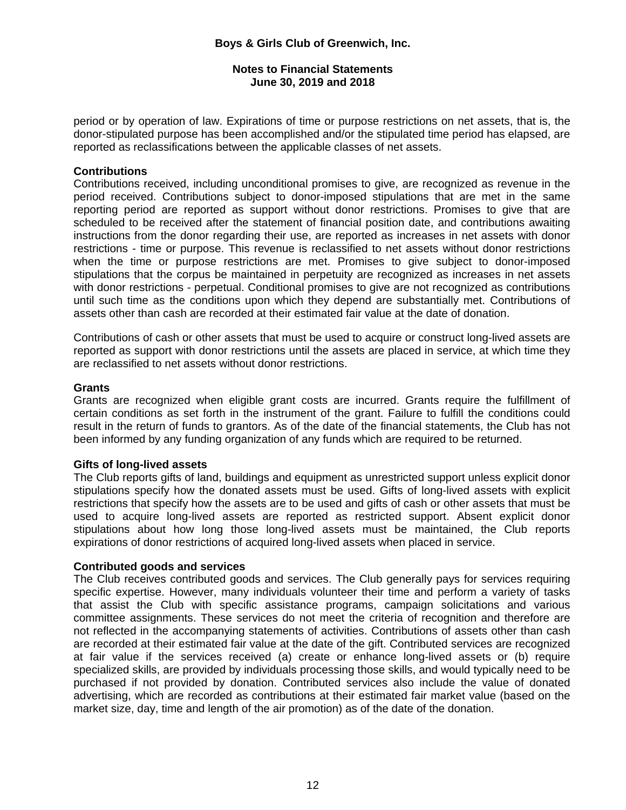#### **Notes to Financial Statements June 30, 2019 and 2018**

period or by operation of law. Expirations of time or purpose restrictions on net assets, that is, the donor-stipulated purpose has been accomplished and/or the stipulated time period has elapsed, are reported as reclassifications between the applicable classes of net assets.

#### **Contributions**

Contributions received, including unconditional promises to give, are recognized as revenue in the period received. Contributions subject to donor-imposed stipulations that are met in the same reporting period are reported as support without donor restrictions. Promises to give that are scheduled to be received after the statement of financial position date, and contributions awaiting instructions from the donor regarding their use, are reported as increases in net assets with donor restrictions - time or purpose. This revenue is reclassified to net assets without donor restrictions when the time or purpose restrictions are met. Promises to give subject to donor-imposed stipulations that the corpus be maintained in perpetuity are recognized as increases in net assets with donor restrictions - perpetual. Conditional promises to give are not recognized as contributions until such time as the conditions upon which they depend are substantially met. Contributions of assets other than cash are recorded at their estimated fair value at the date of donation.

Contributions of cash or other assets that must be used to acquire or construct long-lived assets are reported as support with donor restrictions until the assets are placed in service, at which time they are reclassified to net assets without donor restrictions.

#### **Grants**

Grants are recognized when eligible grant costs are incurred. Grants require the fulfillment of certain conditions as set forth in the instrument of the grant. Failure to fulfill the conditions could result in the return of funds to grantors. As of the date of the financial statements, the Club has not been informed by any funding organization of any funds which are required to be returned.

#### **Gifts of long-lived assets**

The Club reports gifts of land, buildings and equipment as unrestricted support unless explicit donor stipulations specify how the donated assets must be used. Gifts of long-lived assets with explicit restrictions that specify how the assets are to be used and gifts of cash or other assets that must be used to acquire long-lived assets are reported as restricted support. Absent explicit donor stipulations about how long those long-lived assets must be maintained, the Club reports expirations of donor restrictions of acquired long-lived assets when placed in service.

#### **Contributed goods and services**

The Club receives contributed goods and services. The Club generally pays for services requiring specific expertise. However, many individuals volunteer their time and perform a variety of tasks that assist the Club with specific assistance programs, campaign solicitations and various committee assignments. These services do not meet the criteria of recognition and therefore are not reflected in the accompanying statements of activities. Contributions of assets other than cash are recorded at their estimated fair value at the date of the gift. Contributed services are recognized at fair value if the services received (a) create or enhance long-lived assets or (b) require specialized skills, are provided by individuals processing those skills, and would typically need to be purchased if not provided by donation. Contributed services also include the value of donated advertising, which are recorded as contributions at their estimated fair market value (based on the market size, day, time and length of the air promotion) as of the date of the donation.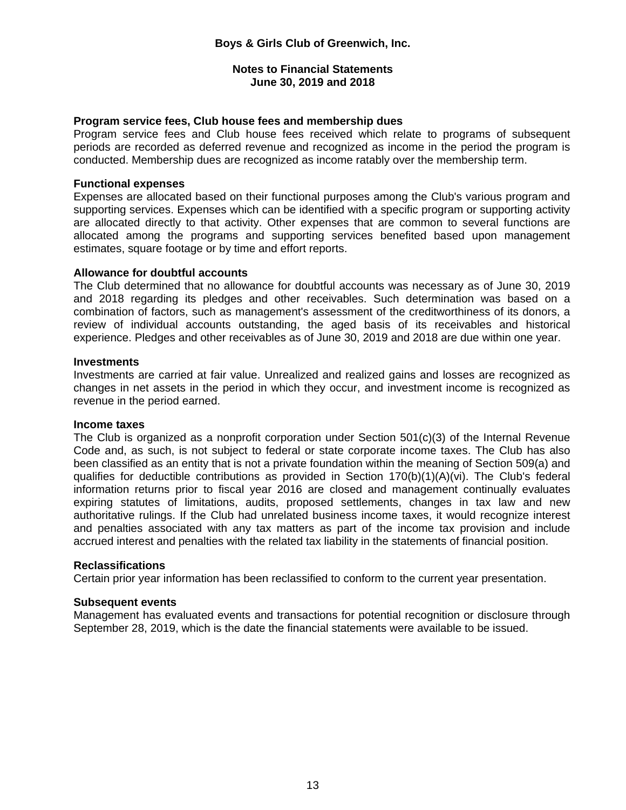#### **Notes to Financial Statements June 30, 2019 and 2018**

#### **Program service fees, Club house fees and membership dues**

Program service fees and Club house fees received which relate to programs of subsequent periods are recorded as deferred revenue and recognized as income in the period the program is conducted. Membership dues are recognized as income ratably over the membership term.

#### **Functional expenses**

Expenses are allocated based on their functional purposes among the Club's various program and supporting services. Expenses which can be identified with a specific program or supporting activity are allocated directly to that activity. Other expenses that are common to several functions are allocated among the programs and supporting services benefited based upon management estimates, square footage or by time and effort reports.

#### **Allowance for doubtful accounts**

The Club determined that no allowance for doubtful accounts was necessary as of June 30, 2019 and 2018 regarding its pledges and other receivables. Such determination was based on a combination of factors, such as management's assessment of the creditworthiness of its donors, a review of individual accounts outstanding, the aged basis of its receivables and historical experience. Pledges and other receivables as of June 30, 2019 and 2018 are due within one year.

#### **Investments**

Investments are carried at fair value. Unrealized and realized gains and losses are recognized as changes in net assets in the period in which they occur, and investment income is recognized as revenue in the period earned.

#### **Income taxes**

The Club is organized as a nonprofit corporation under Section 501(c)(3) of the Internal Revenue Code and, as such, is not subject to federal or state corporate income taxes. The Club has also been classified as an entity that is not a private foundation within the meaning of Section 509(a) and qualifies for deductible contributions as provided in Section 170(b)(1)(A)(vi). The Club's federal information returns prior to fiscal year 2016 are closed and management continually evaluates expiring statutes of limitations, audits, proposed settlements, changes in tax law and new authoritative rulings. If the Club had unrelated business income taxes, it would recognize interest and penalties associated with any tax matters as part of the income tax provision and include accrued interest and penalties with the related tax liability in the statements of financial position.

#### **Reclassifications**

Certain prior year information has been reclassified to conform to the current year presentation.

#### **Subsequent events**

Management has evaluated events and transactions for potential recognition or disclosure through September 28, 2019, which is the date the financial statements were available to be issued.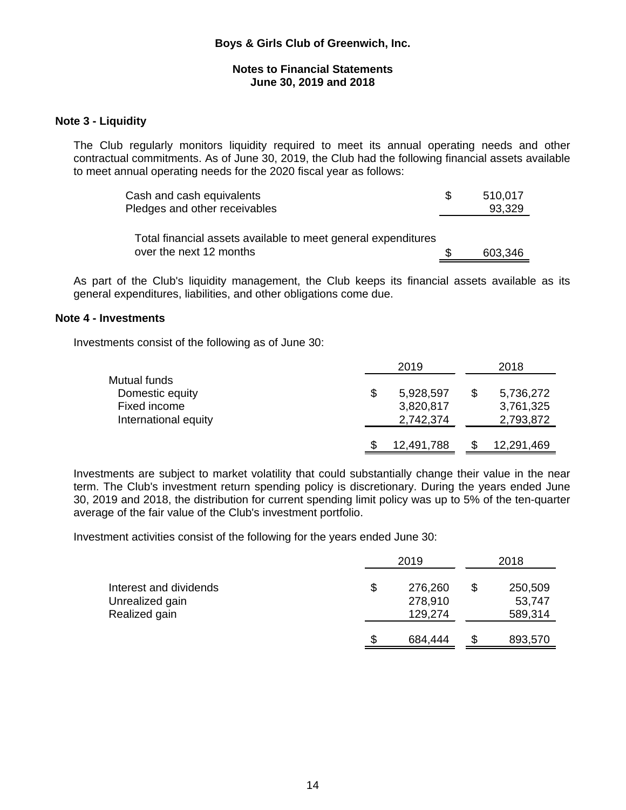#### **Notes to Financial Statements June 30, 2019 and 2018**

#### **Note 3 - Liquidity**

The Club regularly monitors liquidity required to meet its annual operating needs and other contractual commitments. As of June 30, 2019, the Club had the following financial assets available to meet annual operating needs for the 2020 fiscal year as follows:

| Cash and cash equivalents                                     | 510,017 |
|---------------------------------------------------------------|---------|
| Pledges and other receivables                                 | 93,329  |
|                                                               |         |
| Total financial assets available to meet general expenditures |         |
| over the next 12 months                                       | 603,346 |

As part of the Club's liquidity management, the Club keeps its financial assets available as its general expenditures, liabilities, and other obligations come due.

#### **Note 4 - Investments**

Investments consist of the following as of June 30:

|                      | 2019            | 2018 |            |  |  |  |
|----------------------|-----------------|------|------------|--|--|--|
| Mutual funds         |                 |      |            |  |  |  |
| Domestic equity      | \$<br>5,928,597 |      | 5,736,272  |  |  |  |
| Fixed income         | 3,820,817       |      | 3,761,325  |  |  |  |
| International equity | 2,742,374       |      | 2,793,872  |  |  |  |
|                      | 12,491,788      |      | 12,291,469 |  |  |  |

Investments are subject to market volatility that could substantially change their value in the near term. The Club's investment return spending policy is discretionary. During the years ended June 30, 2019 and 2018, the distribution for current spending limit policy was up to 5% of the ten-quarter average of the fair value of the Club's investment portfolio.

Investment activities consist of the following for the years ended June 30:

|                                                            |    | 2018                          |                              |
|------------------------------------------------------------|----|-------------------------------|------------------------------|
| Interest and dividends<br>Unrealized gain<br>Realized gain | \$ | 276,260<br>278,910<br>129,274 | 250,509<br>53,747<br>589,314 |
|                                                            | S  | 684,444                       | 893,570                      |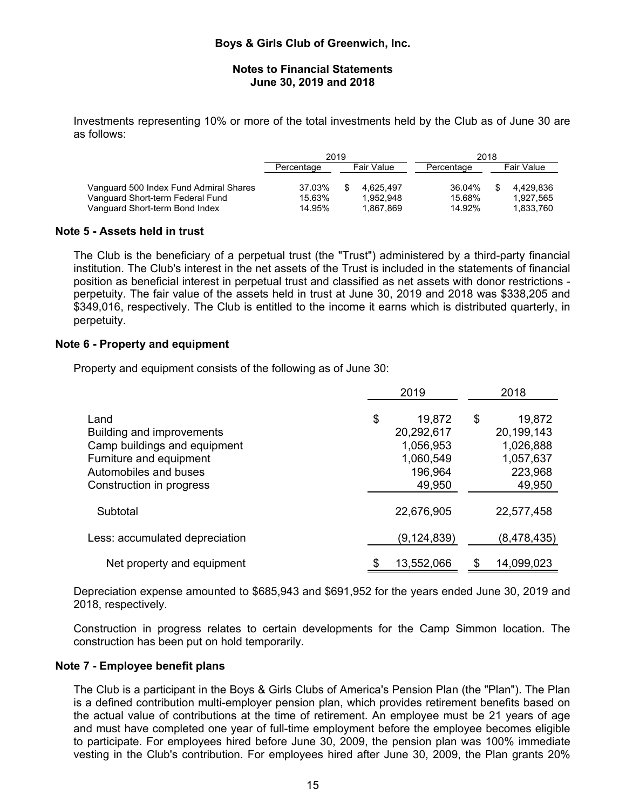#### **Notes to Financial Statements June 30, 2019 and 2018**

Investments representing 10% or more of the total investments held by the Club as of June 30 are as follows:

|                                                                                                              | 2019                       |  |                                     | 2018                       |  |                                     |  |  |
|--------------------------------------------------------------------------------------------------------------|----------------------------|--|-------------------------------------|----------------------------|--|-------------------------------------|--|--|
|                                                                                                              | Percentage                 |  | Fair Value                          | Percentage                 |  | <b>Fair Value</b>                   |  |  |
| Vanguard 500 Index Fund Admiral Shares<br>Vanguard Short-term Federal Fund<br>Vanguard Short-term Bond Index | 37.03%<br>15.63%<br>14.95% |  | 4.625.497<br>1.952.948<br>1,867,869 | 36.04%<br>15.68%<br>14.92% |  | 4.429.836<br>1.927.565<br>1.833.760 |  |  |

#### **Note 5 - Assets held in trust**

The Club is the beneficiary of a perpetual trust (the "Trust") administered by a third-party financial institution. The Club's interest in the net assets of the Trust is included in the statements of financial position as beneficial interest in perpetual trust and classified as net assets with donor restrictions perpetuity. The fair value of the assets held in trust at June 30, 2019 and 2018 was \$338,205 and \$349,016, respectively. The Club is entitled to the income it earns which is distributed quarterly, in perpetuity.

#### **Note 6 - Property and equipment**

Property and equipment consists of the following as of June 30:

|                                                                                                                       | 2019                                                            | 2018                                                            |  |  |
|-----------------------------------------------------------------------------------------------------------------------|-----------------------------------------------------------------|-----------------------------------------------------------------|--|--|
| Land<br>Building and improvements<br>Camp buildings and equipment<br>Furniture and equipment<br>Automobiles and buses | \$<br>19,872<br>20,292,617<br>1,056,953<br>1,060,549<br>196,964 | 19,872<br>\$<br>20,199,143<br>1,026,888<br>1,057,637<br>223,968 |  |  |
| Construction in progress<br>Subtotal                                                                                  | 49,950<br>22,676,905                                            | 49,950<br>22,577,458                                            |  |  |
| Less: accumulated depreciation                                                                                        | (9, 124, 839)                                                   | (8,478,435)                                                     |  |  |
| Net property and equipment                                                                                            | 13,552,066                                                      | 14,099,023                                                      |  |  |

Depreciation expense amounted to \$685,943 and \$691,952 for the years ended June 30, 2019 and 2018, respectively.

Construction in progress relates to certain developments for the Camp Simmon location. The construction has been put on hold temporarily.

#### **Note 7 - Employee benefit plans**

The Club is a participant in the Boys & Girls Clubs of America's Pension Plan (the "Plan"). The Plan is a defined contribution multi-employer pension plan, which provides retirement benefits based on the actual value of contributions at the time of retirement. An employee must be 21 years of age and must have completed one year of full-time employment before the employee becomes eligible to participate. For employees hired before June 30, 2009, the pension plan was 100% immediate vesting in the Club's contribution. For employees hired after June 30, 2009, the Plan grants 20%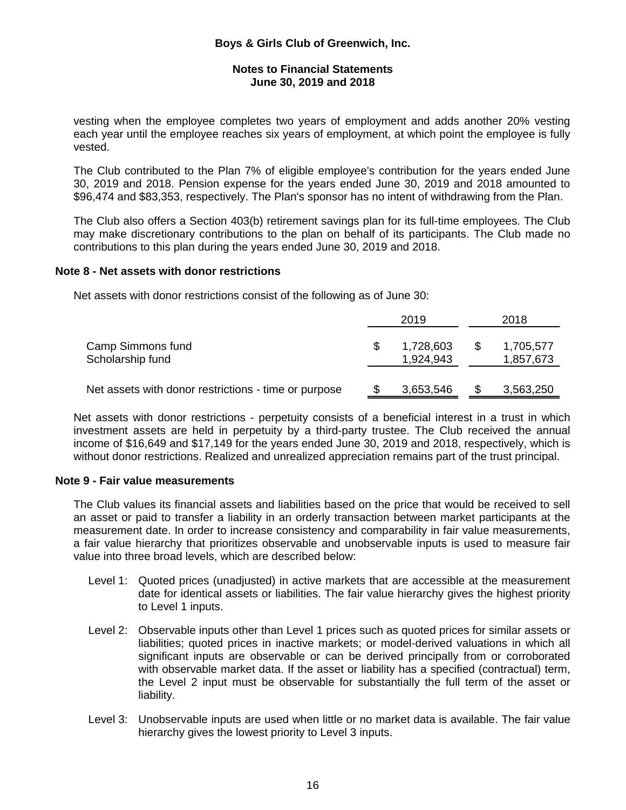#### **Notes to Financial Statements June 30, 2019 and 2018**

vesting when the employee completes two years of employment and adds another 20% vesting each year until the employee reaches six years of employment, at which point the employee is fully vested.

The Club contributed to the Plan 7% of eligible employee's contribution for the years ended June 30, 2019 and 2018. Pension expense for the years ended June 30, 2019 and 2018 amounted to \$96,474 and \$83,353, respectively. The Plan's sponsor has no intent of withdrawing from the Plan.

The Club also offers a Section 403(b) retirement savings plan for its full-time employees. The Club may make discretionary contributions to the plan on behalf of its participants. The Club made no contributions to this plan during the years ended June 30, 2019 and 2018.

#### **Note 8 - Net assets with donor restrictions**

Net assets with donor restrictions consist of the following as of June 30:

|                                                      |    | 2019                   | 2018                         |  |  |
|------------------------------------------------------|----|------------------------|------------------------------|--|--|
| Camp Simmons fund<br>Scholarship fund                | S. | 1,728,603<br>1,924,943 | \$<br>1,705,577<br>1,857,673 |  |  |
| Net assets with donor restrictions - time or purpose |    | 3,653,546              | 3,563,250                    |  |  |

Net assets with donor restrictions - perpetuity consists of a beneficial interest in a trust in which investment assets are held in perpetuity by a third-party trustee. The Club received the annual income of \$16,649 and \$17,149 for the years ended June 30, 2019 and 2018, respectively, which is without donor restrictions. Realized and unrealized appreciation remains part of the trust principal.

#### **Note 9 - Fair value measurements**

The Club values its financial assets and liabilities based on the price that would be received to sell an asset or paid to transfer a liability in an orderly transaction between market participants at the measurement date. In order to increase consistency and comparability in fair value measurements, a fair value hierarchy that prioritizes observable and unobservable inputs is used to measure fair value into three broad levels, which are described below:

- Level 1: Quoted prices (unadjusted) in active markets that are accessible at the measurement date for identical assets or liabilities. The fair value hierarchy gives the highest priority to Level 1 inputs.
- Level 2: Observable inputs other than Level 1 prices such as quoted prices for similar assets or liabilities; quoted prices in inactive markets; or model-derived valuations in which all significant inputs are observable or can be derived principally from or corroborated with observable market data. If the asset or liability has a specified (contractual) term, the Level 2 input must be observable for substantially the full term of the asset or liability.
- Level 3: Unobservable inputs are used when little or no market data is available. The fair value hierarchy gives the lowest priority to Level 3 inputs.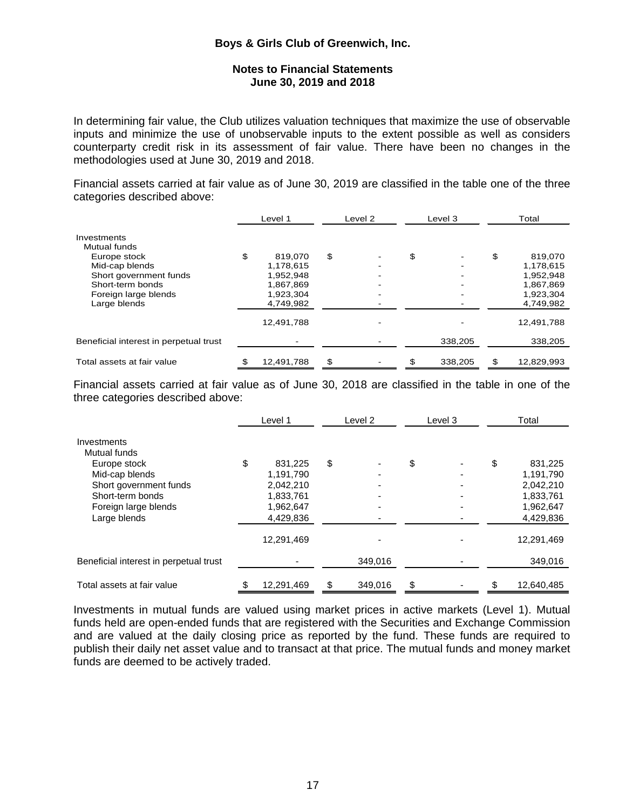#### **Notes to Financial Statements June 30, 2019 and 2018**

In determining fair value, the Club utilizes valuation techniques that maximize the use of observable inputs and minimize the use of unobservable inputs to the extent possible as well as considers counterparty credit risk in its assessment of fair value. There have been no changes in the methodologies used at June 30, 2019 and 2018.

Financial assets carried at fair value as of June 30, 2019 are classified in the table one of the three categories described above:

|                                        | Level 1       | Level 2 |  | Level 3 |         | Total |            |
|----------------------------------------|---------------|---------|--|---------|---------|-------|------------|
| Investments                            |               |         |  |         |         |       |            |
| Mutual funds                           |               |         |  |         |         |       |            |
| Europe stock                           | \$<br>819.070 | \$      |  | \$      |         | \$    | 819,070    |
| Mid-cap blends                         | 1,178,615     |         |  |         |         |       | 1,178,615  |
| Short government funds                 | 1,952,948     |         |  |         | -       |       | 1,952,948  |
| Short-term bonds                       | 1,867,869     |         |  |         | -       |       | 1,867,869  |
| Foreign large blends                   | 1,923,304     |         |  |         |         |       | 1,923,304  |
| Large blends                           | 4,749,982     |         |  |         |         |       | 4,749,982  |
|                                        | 12,491,788    |         |  |         |         |       | 12,491,788 |
| Beneficial interest in perpetual trust |               |         |  |         | 338,205 |       | 338,205    |
| Total assets at fair value             | 12,491,788    | \$      |  | S       | 338,205 | \$    | 12,829,993 |

Financial assets carried at fair value as of June 30, 2018 are classified in the table in one of the three categories described above:

|                                        | Level 1       | Level 2 |         | Level 3 |  | Total |            |
|----------------------------------------|---------------|---------|---------|---------|--|-------|------------|
| Investments                            |               |         |         |         |  |       |            |
| Mutual funds                           |               |         |         |         |  |       |            |
| Europe stock                           | \$<br>831,225 | \$      |         | \$      |  | \$    | 831,225    |
| Mid-cap blends                         | 1,191,790     |         |         |         |  |       | 1,191,790  |
| Short government funds                 | 2,042,210     |         |         |         |  |       | 2,042,210  |
| Short-term bonds                       | 1,833,761     |         |         |         |  |       | 1,833,761  |
| Foreign large blends                   | 1,962,647     |         |         |         |  |       | 1,962,647  |
| Large blends                           | 4,429,836     |         |         |         |  |       | 4,429,836  |
|                                        | 12,291,469    |         |         |         |  |       | 12,291,469 |
| Beneficial interest in perpetual trust |               |         | 349,016 |         |  |       | 349,016    |
| Total assets at fair value             | 12,291,469    | \$      | 349,016 | \$      |  |       | 12,640,485 |

Investments in mutual funds are valued using market prices in active markets (Level 1). Mutual funds held are open-ended funds that are registered with the Securities and Exchange Commission and are valued at the daily closing price as reported by the fund. These funds are required to publish their daily net asset value and to transact at that price. The mutual funds and money market funds are deemed to be actively traded.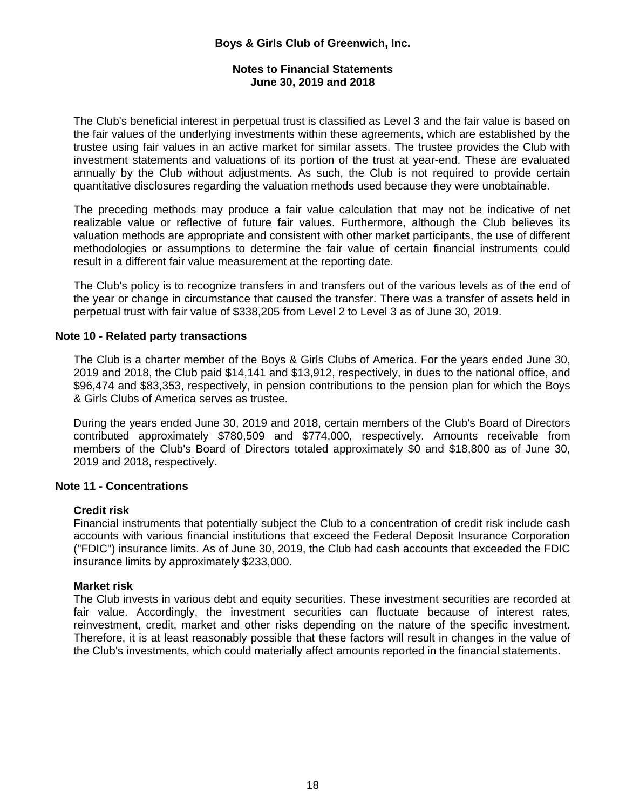### **Notes to Financial Statements June 30, 2019 and 2018**

The Club's beneficial interest in perpetual trust is classified as Level 3 and the fair value is based on the fair values of the underlying investments within these agreements, which are established by the trustee using fair values in an active market for similar assets. The trustee provides the Club with investment statements and valuations of its portion of the trust at year-end. These are evaluated annually by the Club without adjustments. As such, the Club is not required to provide certain quantitative disclosures regarding the valuation methods used because they were unobtainable.

The preceding methods may produce a fair value calculation that may not be indicative of net realizable value or reflective of future fair values. Furthermore, although the Club believes its valuation methods are appropriate and consistent with other market participants, the use of different methodologies or assumptions to determine the fair value of certain financial instruments could result in a different fair value measurement at the reporting date.

The Club's policy is to recognize transfers in and transfers out of the various levels as of the end of the year or change in circumstance that caused the transfer. There was a transfer of assets held in perpetual trust with fair value of \$338,205 from Level 2 to Level 3 as of June 30, 2019.

### **Note 10 - Related party transactions**

The Club is a charter member of the Boys & Girls Clubs of America. For the years ended June 30, 2019 and 2018, the Club paid \$14,141 and \$13,912, respectively, in dues to the national office, and \$96,474 and \$83,353, respectively, in pension contributions to the pension plan for which the Boys & Girls Clubs of America serves as trustee.

During the years ended June 30, 2019 and 2018, certain members of the Club's Board of Directors contributed approximately \$780,509 and \$774,000, respectively. Amounts receivable from members of the Club's Board of Directors totaled approximately \$0 and \$18,800 as of June 30, 2019 and 2018, respectively.

#### **Note 11 - Concentrations**

#### **Credit risk**

Financial instruments that potentially subject the Club to a concentration of credit risk include cash accounts with various financial institutions that exceed the Federal Deposit Insurance Corporation ("FDIC") insurance limits. As of June 30, 2019, the Club had cash accounts that exceeded the FDIC insurance limits by approximately \$233,000.

#### **Market risk**

The Club invests in various debt and equity securities. These investment securities are recorded at fair value. Accordingly, the investment securities can fluctuate because of interest rates, reinvestment, credit, market and other risks depending on the nature of the specific investment. Therefore, it is at least reasonably possible that these factors will result in changes in the value of the Club's investments, which could materially affect amounts reported in the financial statements.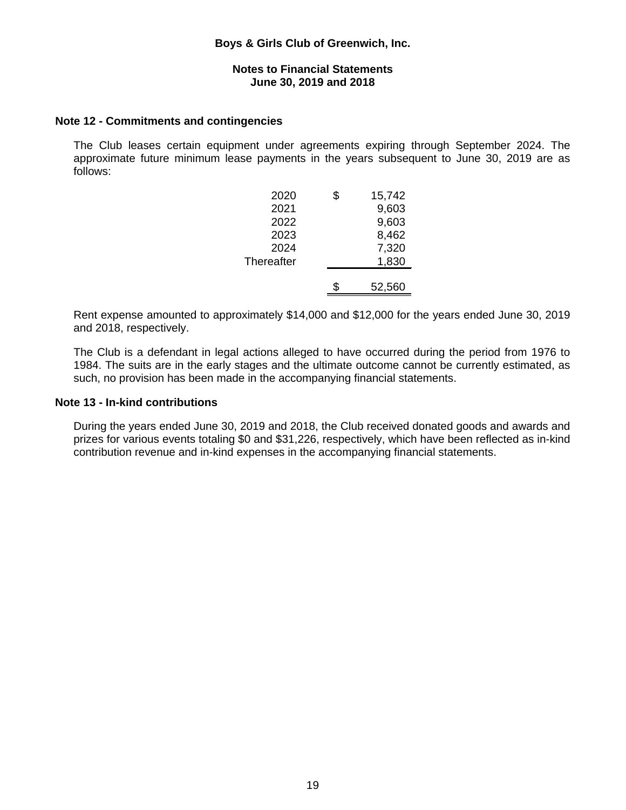#### **Notes to Financial Statements June 30, 2019 and 2018**

#### **Note 12 - Commitments and contingencies**

The Club leases certain equipment under agreements expiring through September 2024. The approximate future minimum lease payments in the years subsequent to June 30, 2019 are as follows:

| 9,603<br>2021<br>9,603<br>2022<br>8,462<br>2023<br>7,320<br>2024<br>1,830<br>Thereafter<br>52,560 | 2020 | \$<br>15,742 |
|---------------------------------------------------------------------------------------------------|------|--------------|
|                                                                                                   |      |              |
|                                                                                                   |      |              |
|                                                                                                   |      |              |
|                                                                                                   |      |              |
|                                                                                                   |      |              |
|                                                                                                   |      |              |
|                                                                                                   |      |              |

Rent expense amounted to approximately \$14,000 and \$12,000 for the years ended June 30, 2019 and 2018, respectively.

The Club is a defendant in legal actions alleged to have occurred during the period from 1976 to 1984. The suits are in the early stages and the ultimate outcome cannot be currently estimated, as such, no provision has been made in the accompanying financial statements.

#### **Note 13 - In-kind contributions**

During the years ended June 30, 2019 and 2018, the Club received donated goods and awards and prizes for various events totaling \$0 and \$31,226, respectively, which have been reflected as in-kind contribution revenue and in-kind expenses in the accompanying financial statements.